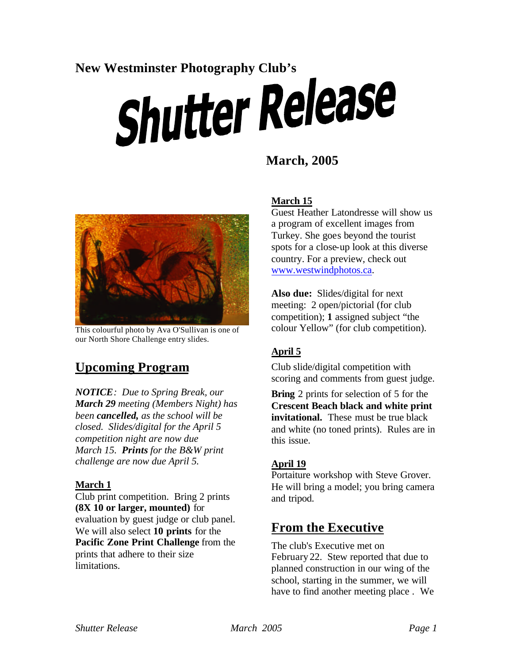# New Westminster Photography Club's<br> **Shutter Release**

# **March, 2005**



This colourful photo by Ava O'Sullivan is one of our North Shore Challenge entry slides.

# **Upcoming Program**

*NOTICE: Due to Spring Break, our March 29 meeting (Members Night) has been cancelled, as the school will be closed. Slides/digital for the April 5 competition night are now due March 15. Prints for the B&W print challenge are now due April 5.*

#### **March 1**

Club print competition. Bring 2 prints **(8X 10 or larger, mounted)** for evaluation by guest judge or club panel. We will also select **10 prints** for the **Pacific Zone Print Challenge** from the prints that adhere to their size limitations.

#### **March 15**

Guest Heather Latondresse will show us a program of excellent images from Turkey. She goes beyond the tourist spots for a close-up look at this diverse country. For a preview, check out www.westwindphotos.ca.

**Also due:** Slides/digital for next meeting: 2 open/pictorial (for club competition); **1** assigned subject "the colour Yellow" (for club competition).

#### **April 5**

Club slide/digital competition with scoring and comments from guest judge.

**Bring** 2 prints for selection of 5 for the **Crescent Beach black and white print invitational.** These must be true black and white (no toned prints). Rules are in this issue.

#### **April 19**

Portaiture workshop with Steve Grover. He will bring a model; you bring camera and tripod.

# **From the Executive**

The club's Executive met on February 22. Stew reported that due to planned construction in our wing of the school, starting in the summer, we will have to find another meeting place . We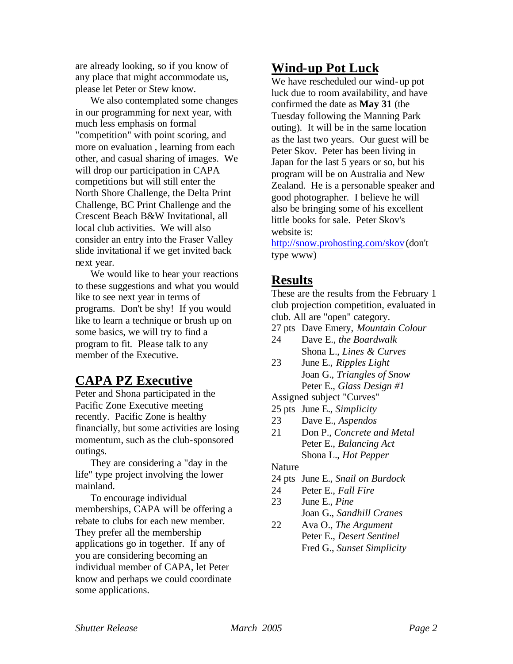are already looking, so if you know of any place that might accommodate us, please let Peter or Stew know.

We also contemplated some changes in our programming for next year, with much less emphasis on formal "competition" with point scoring, and more on evaluation , learning from each other, and casual sharing of images. We will drop our participation in CAPA competitions but will still enter the North Shore Challenge, the Delta Print Challenge, BC Print Challenge and the Crescent Beach B&W Invitational, all local club activities. We will also consider an entry into the Fraser Valley slide invitational if we get invited back next year.

We would like to hear your reactions to these suggestions and what you would like to see next year in terms of programs. Don't be shy! If you would like to learn a technique or brush up on some basics, we will try to find a program to fit. Please talk to any member of the Executive.

## **CAPA PZ Executive**

Peter and Shona participated in the Pacific Zone Executive meeting recently. Pacific Zone is healthy financially, but some activities are losing momentum, such as the club-sponsored outings.

They are considering a "day in the life" type project involving the lower mainland.

To encourage individual memberships, CAPA will be offering a rebate to clubs for each new member. They prefer all the membership applications go in together. If any of you are considering becoming an individual member of CAPA, let Peter know and perhaps we could coordinate some applications.

# **Wind-up Pot Luck**

We have rescheduled our wind-up pot luck due to room availability, and have confirmed the date as **May 31** (the Tuesday following the Manning Park outing). It will be in the same location as the last two years. Our guest will be Peter Skov. Peter has been living in Japan for the last 5 years or so, but his program will be on Australia and New Zealand. He is a personable speaker and good photographer. I believe he will also be bringing some of his excellent little books for sale. Peter Skov's website is:

http://snow.prohosting.com/skov (don't type www)

# **Results**

These are the results from the February 1 club projection competition, evaluated in club. All are "open" category.

- 27 pts Dave Emery, *Mountain Colour*
- 24 Dave E., *the Boardwalk* Shona L., *Lines & Curves*
- 23 June E., *Ripples Light* Joan G., *Triangles of Snow* Peter E., *Glass Design #1*

Assigned subject "Curves"

- 25 pts June E., *Simplicity*
- 23 Dave E., *Aspendos*
- 21 Don P., *Concrete and Metal* Peter E., *Balancing Act* Shona L., *Hot Pepper*

#### Nature

- 24 pts June E., *Snail on Burdock*
- 24 Peter E., *Fall Fire*
- 23 June E., *Pine* Joan G., *Sandhill Cranes*
- 22 Ava O., *The Argument* Peter E., *Desert Sentinel* Fred G., *Sunset Simplicity*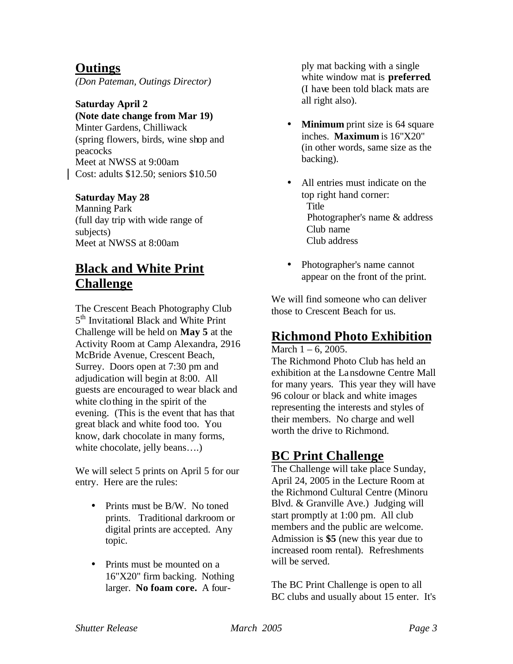## **Outings**

*(Don Pateman, Outings Director)*

# **Saturday April 2**

**(Note date change from Mar 19)**

Minter Gardens, Chilliwack (spring flowers, birds, wine shop and peacocks Meet at NWSS at 9:00am Cost: adults \$12.50; seniors \$10.50

#### **Saturday May 28**

Manning Park (full day trip with wide range of subjects) Meet at NWSS at 8:00am

# **Black and White Print Challenge**

The Crescent Beach Photography Club 5<sup>th</sup> Invitational Black and White Print Challenge will be held on **May 5** at the Activity Room at Camp Alexandra, 2916 McBride Avenue, Crescent Beach, Surrey. Doors open at 7:30 pm and adjudication will begin at 8:00. All guests are encouraged to wear black and white clothing in the spirit of the evening. (This is the event that has that great black and white food too. You know, dark chocolate in many forms, white chocolate, jelly beans....)

We will select 5 prints on April 5 for our entry. Here are the rules:

- Prints must be B/W. No toned prints. Traditional darkroom or digital prints are accepted. Any topic.
- Prints must be mounted on a 16"X20" firm backing. Nothing larger. **No foam core.** A four-

ply mat backing with a single white window mat is **preferred**. (I have been told black mats are all right also).

- **Minimum** print size is 64 square inches. **Maximum** is 16"X20" (in other words, same size as the backing).
- All entries must indicate on the top right hand corner: Title Photographer's name & address Club name Club address
- Photographer's name cannot appear on the front of the print.

We will find someone who can deliver those to Crescent Beach for us.

## **Richmond Photo Exhibition**

March  $1 - 6$ , 2005.

The Richmond Photo Club has held an exhibition at the Lansdowne Centre Mall for many years. This year they will have 96 colour or black and white images representing the interests and styles of their members. No charge and well worth the drive to Richmond.

## **BC Print Challenge**

The Challenge will take place Sunday, April 24, 2005 in the Lecture Room at the Richmond Cultural Centre (Minoru Blvd. & Granville Ave.) Judging will start promptly at 1:00 pm. All club members and the public are welcome. Admission is **\$5** (new this year due to increased room rental). Refreshments will be served.

The BC Print Challenge is open to all BC clubs and usually about 15 enter. It's